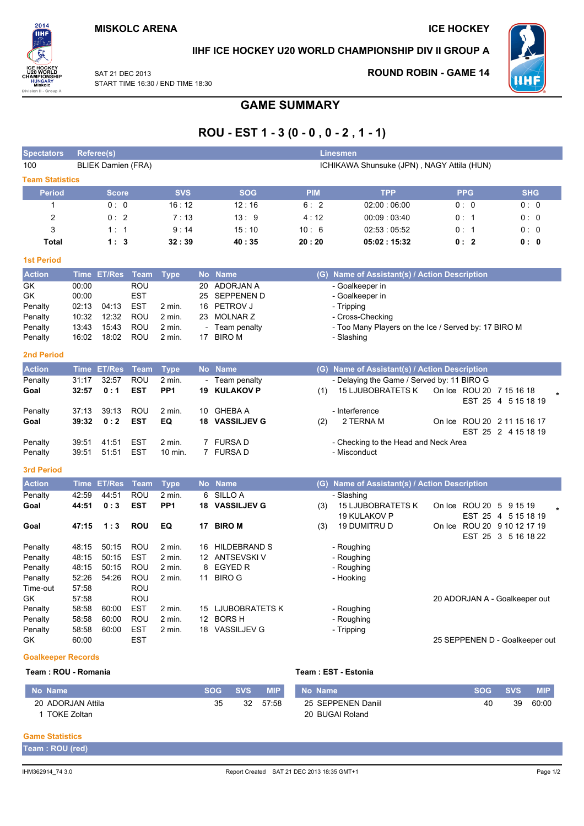**ROUND ROBIN - GAME 14** 



IIHF ICE HOCKEY U20 WORLD CHAMPIONSHIP DIV II GROUP A

W.

SAT 21 DEC 2013 START TIME 16:30 / END TIME 18:30

# **GAME SUMMARY**

# ROU - EST 1 - 3 (0 - 0, 0 - 2, 1 - 1)

| <b>Spectators</b>      |                                                                         | <b>Referee(s)</b> |             |                         |                          |                     |            | Linesmen                                                    |                                |                     |
|------------------------|-------------------------------------------------------------------------|-------------------|-------------|-------------------------|--------------------------|---------------------|------------|-------------------------------------------------------------|--------------------------------|---------------------|
| 100                    | <b>BLIEK Damien (FRA)</b><br>ICHIKAWA Shunsuke (JPN), NAGY Attila (HUN) |                   |             |                         |                          |                     |            |                                                             |                                |                     |
| <b>Team Statistics</b> |                                                                         |                   |             |                         |                          |                     |            |                                                             |                                |                     |
| <b>Period</b>          |                                                                         | <b>Score</b>      |             | <b>SVS</b>              |                          | <b>SOG</b>          | <b>PIM</b> | <b>TPP</b>                                                  | <b>PPG</b>                     | <b>SHG</b>          |
| $\mathbf{1}$           |                                                                         | 0:0               |             | 16:12                   |                          | 12:16               | 6:2        | 02:00:06:00                                                 | 0:0                            | 0:0                 |
| $\overline{c}$         |                                                                         | 0:2               |             | 7:13                    |                          | 13:9                | 4:12       | 00:09:03:40                                                 | 0: 1                           | 0:0                 |
| 3                      |                                                                         | 1:1               |             | 9:14                    |                          | 15:10               | 10:6       | 02:53:05:52                                                 | 0:1                            | 0:0                 |
| <b>Total</b>           |                                                                         | 1:3               |             | 32:39                   |                          | 40:35               | 20:20      | 05:02:15:32                                                 | 0:2                            | 0:0                 |
| <b>1st Period</b>      |                                                                         |                   |             |                         |                          |                     |            |                                                             |                                |                     |
| <b>Action</b>          | <b>Time</b>                                                             | <b>ET/Res</b>     | <b>Team</b> | <b>Type</b>             |                          | No Name             |            | (G) Name of Assistant(s) / Action Description               |                                |                     |
| GK                     | 00:00                                                                   |                   | <b>ROU</b>  |                         | 20                       | <b>ADORJAN A</b>    |            | - Goalkeeper in                                             |                                |                     |
| GK                     | 00:00                                                                   |                   | <b>EST</b>  |                         | 25                       | <b>SEPPENEN D</b>   |            | - Goalkeeper in                                             |                                |                     |
| Penalty                | 02:13                                                                   | 04:13             | <b>EST</b>  | 2 min.                  | 16                       | PETROV J            |            | - Tripping                                                  |                                |                     |
| Penalty                | 10:32                                                                   | 12:32             | ROU         | 2 min.                  | 23                       | <b>MOLNAR Z</b>     |            | - Cross-Checking                                            |                                |                     |
| Penalty                | 13:43                                                                   | 15:43             | <b>ROU</b>  | $2$ min.                |                          | Team penalty        |            | - Too Many Players on the Ice / Served by: 17 BIRO M        |                                |                     |
| Penalty                | 16:02                                                                   | 18:02             | <b>ROU</b>  | $2$ min.                | 17                       | <b>BIRO M</b>       |            | - Slashing                                                  |                                |                     |
| <b>2nd Period</b>      |                                                                         |                   |             |                         |                          |                     |            |                                                             |                                |                     |
| <b>Action</b>          | <b>Time</b>                                                             | <b>ET/Res</b>     | <b>Team</b> | <b>Type</b>             |                          | No Name             |            | (G) Name of Assistant(s) / Action Description               |                                |                     |
| Penalty                | 31:17                                                                   | 32:57             | ROU         | 2 min.                  | $\overline{\phantom{a}}$ | Team penalty        |            | - Delaying the Game / Served by: 11 BIRO G                  |                                |                     |
| Goal                   | 32:57                                                                   | 0:1               | <b>EST</b>  | PP <sub>1</sub>         | 19                       | <b>KULAKOV P</b>    | (1)        | <b>15 LJUBOBRATETS K</b>                                    | On Ice ROU 20 7 15 16 18       |                     |
| Penalty                | 37:13                                                                   | 39:13             | <b>ROU</b>  | 2 min.                  | 10                       | <b>GHEBA A</b>      |            | - Interference                                              |                                | EST 25 4 5 15 18 19 |
| Goal                   | 39:32                                                                   | 0:2               | <b>EST</b>  | EQ                      |                          | 18 VASSILJEV G      | (2)        | 2 TERNA M                                                   | On Ice ROU 20 2 11 15 16 17    |                     |
|                        |                                                                         |                   |             |                         |                          |                     |            |                                                             |                                | EST 25 2 4 15 18 19 |
| Penalty                | 39:51                                                                   | 41:51             | <b>EST</b>  | 2 min.                  |                          | 7 FURSA D           |            | - Checking to the Head and Neck Area                        |                                |                     |
| Penalty                | 39:51                                                                   | 51:51             | <b>EST</b>  | 10 min.                 |                          | 7 FURSA D           |            | - Misconduct                                                |                                |                     |
| <b>3rd Period</b>      |                                                                         |                   |             |                         |                          |                     |            |                                                             |                                |                     |
| <b>Action</b>          | <b>Time</b>                                                             | <b>ET/Res</b>     | <b>Team</b> |                         | <b>No</b>                | <b>Name</b>         |            |                                                             |                                |                     |
| Penalty                | 42:59                                                                   | 44:51             | <b>ROU</b>  | <b>Type</b><br>$2$ min. | 6                        | SILLO A             |            | (G) Name of Assistant(s) / Action Description<br>- Slashing |                                |                     |
| Goal                   | 44:51                                                                   | 0:3               | <b>EST</b>  | PP <sub>1</sub>         | 18                       | <b>VASSILJEV G</b>  | (3)        | <b>15 LJUBOBRATETS K</b>                                    | On Ice ROU 20 5 9 15 19        |                     |
|                        |                                                                         |                   |             |                         |                          |                     |            | 19 KULAKOV P                                                |                                | EST 25 4 5 15 18 19 |
| Goal                   | 47:15                                                                   | 1:3               | <b>ROU</b>  | EQ                      | 17                       | <b>BIRO M</b>       | (3)        | 19 DUMITRU D                                                | On Ice ROU 20 9 10 12 17 19    |                     |
|                        |                                                                         |                   |             |                         |                          |                     |            |                                                             |                                | EST 25 3 5 16 18 22 |
| Penalty                | 48:15                                                                   | 50:15             | <b>ROU</b>  | 2 min.                  | 16                       | <b>HILDEBRAND S</b> |            | - Roughing                                                  |                                |                     |
| Penalty                | 48:15                                                                   | 50:15             | <b>EST</b>  | 2 min.                  |                          | 12 ANTSEVSKI V      |            | - Roughing                                                  |                                |                     |
| Penalty                | 48:15                                                                   | 50:15             | ROU         | 2 min.                  | 8                        | <b>EGYED R</b>      |            | - Roughing                                                  |                                |                     |
| Penalty                | 52:26                                                                   | 54:26             | ROU         | 2 min.                  |                          | 11 BIRO G           |            | - Hooking                                                   |                                |                     |
| Time-out               | 57:58                                                                   |                   | <b>ROU</b>  |                         |                          |                     |            |                                                             |                                |                     |
| GK                     | 57:58                                                                   |                   | <b>ROU</b>  |                         |                          |                     |            |                                                             | 20 ADORJAN A - Goalkeeper out  |                     |
| Penalty                | 58:58                                                                   | 60:00             | <b>EST</b>  | 2 min.                  |                          | 15 LJUBOBRATETS K   |            | - Roughing                                                  |                                |                     |
| Penalty                | 58:58                                                                   | 60:00             | <b>ROU</b>  | $2$ min.                |                          | 12 BORS H           |            | - Roughing                                                  |                                |                     |
| Penalty                | 58:58                                                                   | 60:00             | <b>EST</b>  | 2 min.                  |                          | 18 VASSILJEV G      |            | - Tripping                                                  |                                |                     |
| GK                     | 60:00                                                                   |                   | <b>EST</b>  |                         |                          |                     |            |                                                             | 25 SEPPENEN D - Goalkeeper out |                     |
|                        |                                                                         |                   |             |                         |                          |                     |            |                                                             |                                |                     |

#### **Goalkeeper Records** · ROLL - Romani:

| Team : ROU - Romania |            |            | Team : EST - Estonia |                    |            |     |            |  |  |  |
|----------------------|------------|------------|----------------------|--------------------|------------|-----|------------|--|--|--|
| No Name              | <b>SOG</b> | <b>SVS</b> | <b>MIP</b>           | No Name            | <b>SOG</b> | SVS | <b>MIP</b> |  |  |  |
| 20 ADORJAN Attila    | 35         | 32         | 57:58                | 25 SEPPENEN Daniil | 40         | 39  | 60:00      |  |  |  |
| TOKE Zoltan          |            |            |                      | 20 BUGAI Roland    |            |     |            |  |  |  |

#### **Game Statistics**

Team : ROU (red)